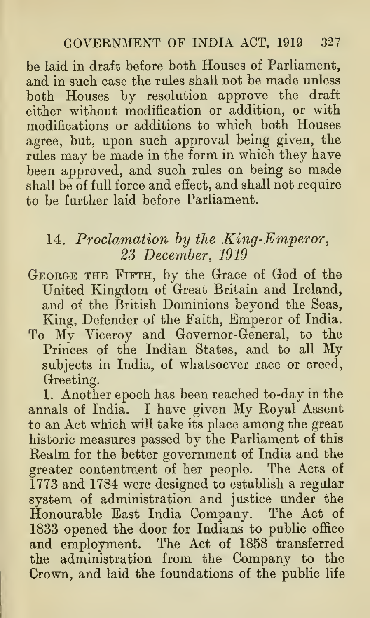be laid in draft before both Houses of Parliament, and in such case the rules shall not be made unless both Houses by resolution approve the draft either without modification or addition, or with modifications or additions to which both Houses agree, but, upon such approval being given, the rules may be made in the form in which they have been approved, and such rules on being so made shall be of full force and effect, and shall not require to be further laid before Parliament.

## 14. Proclamation by the King-Emperor, 23 December, 1919

- George the Fifth, by the Grace of God of the United Kingdom of Great Britain and Ireland, and of the British Dominions beyond the Seas, King, Defender of the Faith, Emperor of India.
- To My Viceroy and Governor-General, to the Princes of the Indian States, and to all My subjects in India, of whatsoever race or creed, Greeting.

1. Another epoch has been reached to-day in the annals of India. <sup>I</sup> have given My Koyal Assent to an Act which will take its place among the great historic measures passed by the Parliament of this Realm for the better government of India and the greater contentment of her people. The Acts of 1773 and 1784 were designed to establish a regular system of administration and justice under the Honourable East India Company. The Act of 1833 opened the door for Indians to public office and employment. The Act of 1858 transferred the administration from the Company to the Crown, and laid the foundations of the public life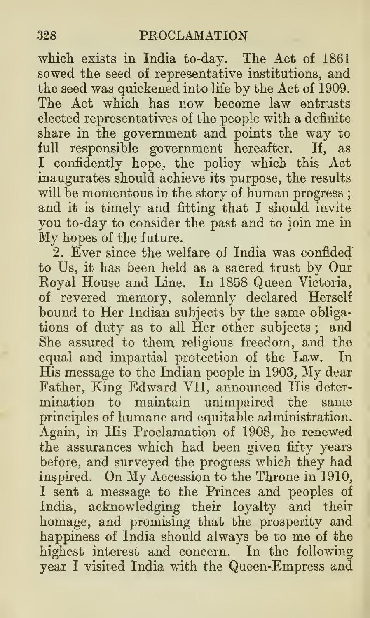which exists in India to-day. The Act of 1861 sowed the seed of representative institutions, and the seed was quickened into life by the Act of 1909. The Act which has now become law entrusts elected representatives of the people with a definite share in the government and points the way to full responsible government hereafter. If, as I confidently hope, the policy which this Act inaugurates should achieve its purpose, the results will be momentous in the story of human progress ; and it is timely and fitting that I should invite you to-day to consider the past and to join me in My hopes of the future.

2. Ever since the welfare of India was confided to Us, it has been held as a sacred trust by Our Royal House and Line. In 1858 Queen Victoria, of revered memory, solemnly declared Herself bound to Her Indian subjects by the same obliga tions of duty as to all Her other subjects ; and She assured to them religious freedom, and the equal and impartial protection of the Law. In His message to the Indian people in 1903, My dear Father, King Edward VII, announced His deter mination to maintain unimpaired the same principles of humane and equitable administration. Again, in His Proclamation of 1908, he renewed the assurances which had been given fifty years before, and surveyed the progress which they had inspired. On My Accession to the Throne in 1910, I sent a message to the Princes and peoples of India, acknowledging their loyalty and their homage, and promising that the prosperity and happiness of India should always be to me of the highest interest and concern. In the following year I visited India with the Queen-Empress and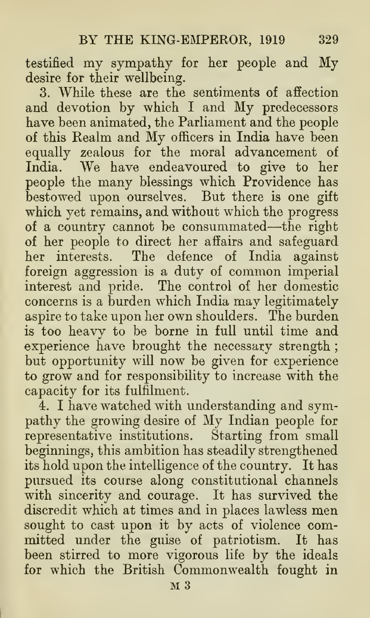testified my sympathy for her people and My desire for their wellbeing.

3. While these are the sentiments of affection and devotion by which <sup>I</sup> and My predecessors have been animated, the Parliament and the people of this Realm and My officers in India have been equally zealous for the moral advancement of India. We have endeavoured to give to her people the many blessings which Providence has bestowed upon ourselves. But there is one gift which yet remains, and without which the progress of <sup>a</sup> country cannot be consummated—-the right of her people to direct her affairs and safeguard her interests. The defence of India against foreign aggression is a duty of common imperial interest and pride. The control of her domestic concerns is a burden which India may legitimately aspire to take upon her own shoulders. The burden is too heavy to be borne in full until time and experience have brought the necessary strength ; but opportunity will now be given for experience to grow and for responsibility to increase with the capacity for its fulfilment.

4. I have watched with understanding and sympathy the growing desire of My Indian people for representative institutions. Starting from small beginnings, this ambition has steadily strengthened its hold upon the intelligence of the country. It has pursued its course along constitutional channels with sincerity and courage. It has survived the discredit which at times and in places lawless men sought to cast upon it by acts of violence committed under the guise of patriotism. It has been stirred to more vigorous life by the ideals for which the British Commonwealth fought in  $M_3$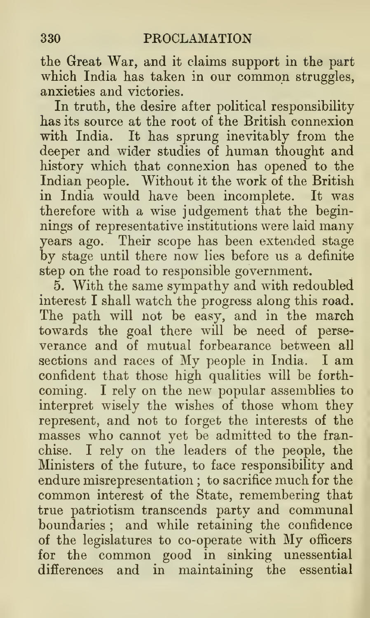the Great War, and it claims support in the part which India has taken in our common struggles, anxieties and victories.

In truth, the desire after political responsibility has its source at the root of the British connexion with India. It has sprung inevitably from the deeper and wider studies of human thought and history which that connexion has opened to the Indian people. Without it the work of the British in India would have been incomplete. It was therefore with a wise judgement that the beginnings of representative institutions were laid many years ago. Their scope has been extended stage by stage until there now lies before us a definite step on the road to responsible government.

5. With the same sympathy and with redoubled interest I shall watch the progress along this road. The path will not be easy, and in the march towards the goal there will be need of perse verance and of mutual forbearance between all sections and races of My people in India. <sup>I</sup> am confident that those high qualities will be forth coming. I rely on the new popular assemblies to interpret wisely the wishes of those whom they represent, and not to forget the interests of the masses who cannot yet be admitted to the franchise. I rely on the leaders of the people, the Ministers of the future, to face responsibility and  $\rm{endure\,miser representation}$  ; to sacrifice much for the  $\quad$ common interest of the State, remembering that true patriotism transcends party and communal boundaries ; and while retaining the confidence of the legislatures to co-operate with My officers for the common good in sinking unessential differences and in maintaining the essential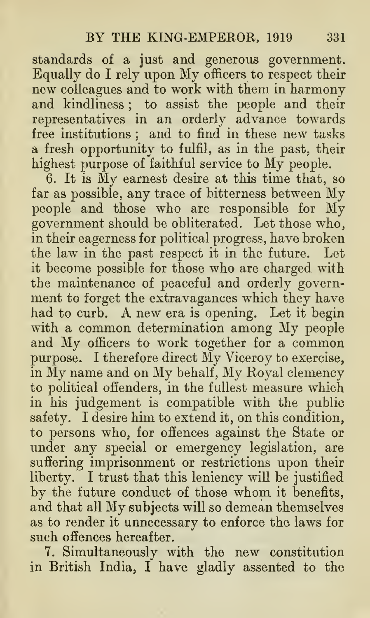standards of a just and generous government. Equally do <sup>I</sup>rely upon My officers to respect their new colleagues and to work with them in harmony and kindliness ; to assist the people and their representatives in an orderly advance towards free institutions ; and to find in these new tasks a fresh opportunity to fulfil, as in the past, their highest purpose of faithful service to My people.

6. It is My earnest desire at this time that, so far as possible, any trace of bitterness between My people and those who are responsible for My government should be obliterated. Let those who, in their eagerness for political progress, have broken the law in the past respect it in the future. Let it become possible for those who are charged with the maintenance of peaceful and orderly govern ment to forget the extravagances which they have had to curb. A new era is opening. Let it begin with <sup>a</sup> common determination among My people and My officers to work together for <sup>a</sup> common purpose. <sup>I</sup> therefore direct My Viceroy to exercise, in My name and on My behalf. My Royal clemency to political ofienders, in the fullest measure which in his judgement is compatible with the public safety. <sup>I</sup> desire him to extend it, on this condition, to persons who, for offences against the State or under any special or emergency legislation, are suffering imprisonment or restrictions upon their liberty. I trust that this leniency will be justified by the future conduct of those whom it benefits, and that all My subjects will so demean themselves as to render it unnecessary to enforce the laws for such offences hereafter.

7. Simultaneously with the new constitution in British India, I have gladly assented to the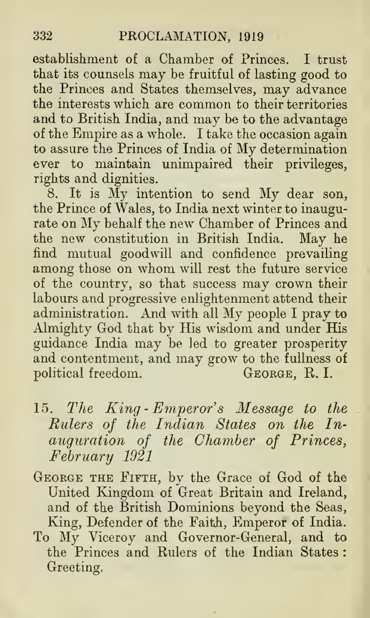establishment of a Chamber of Princes. I trust that its counsels may be fruitful of lasting good to the Princes and States themselves, may advance the interests which are common to their territories and to British India, and may be to the advantage of the Empire as a whole. <sup>I</sup> take the occasion again to assure the Princes of India of My determination ever to maintain unimpaired their privileges, rights and dignities.

8. It is My intention to send My dear son, the Prince of Wales, to India next winter to inaugurate on My behalf the new Chamber of Princes and the new constitution in British India. May he find mutual goodwill and confidence prevailing among those on whom will rest the future service of the country, so that success may crown their labours and progressive enlightenment attend their administration. And with all My people <sup>I</sup> pray to Almighty God that by His wisdom and under His guidance India may be led to greater prosperity and contentment, and may grow to the fullness of political freedom.

- 15. The King-Emperor's Message to the Rulers of the Indian States on the In auguration of the Chamber of Princes, February 1921
- George the Fifth, by the Grace of God of the United Kingdom of Great Britain and Ireland, and of the British Dominions beyond the Seas, King, Defender of the Faith, Emperor of India.
- To My Viceroy and Governor-General, and to the Princes and Rulers of the Indian States : Greeting.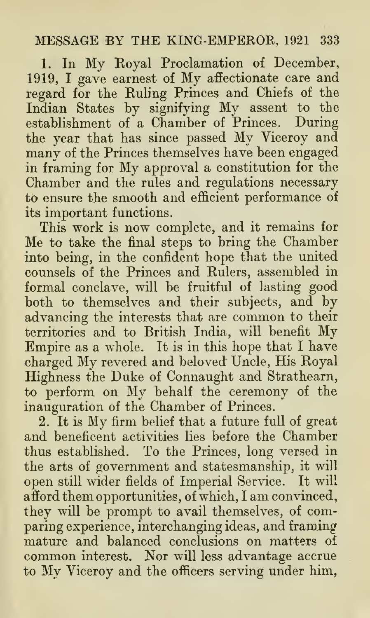## MESSAGE BY THE KING-EMPEROR, <sup>1921</sup> <sup>333</sup>

1. In My Royal Proclamation of December, 1919, <sup>I</sup> gave earnest of My affectionate care and regard for the Ruling Princes and Chiefs of the Indian States by signifying My assent to the establishment of a Chamber of Princes. During the year that has since passed My Viceroy and many of the Princes themselves have been engaged in framing for My approval <sup>a</sup> constitution for the Chamber and the rules and regulations necessary to ensure the smooth and efficient performance of its important functions.

This work is now complete, and it remains for Me to take the final steps to bring the Chamber into being, in the confident hope that the united counsels of the Princes and Rulers, assembled in formal conclave, will be fruitful of lasting good both to themselves and their subjects, and by advancing the interests that are common to their territories and to British India, will benefit My Empire as a whole. It is in this hope that <sup>I</sup> have charged My revered and beloved Uncle, His Royal Highness the Duke of Connaught and Strathearn, to perform on My behalf the ceremony of the inauguration of the Chamber of Princes.

2. It is My firm belief that <sup>a</sup> future full of great and beneficent activities lies before the Chamber thus established. To the Princes, long versed in the arts of government and statesmanship, it will open still wider fields of Imperial Service. It will afford them opportunities, of which, <sup>I</sup> am convinced, they will be prompt to avail themselves, of comparing experience, interchanging ideas, and framing mature and balanced conclusions on matters of common interest. Nor will less advantage accrue to My Viceroy and the officers serving under him,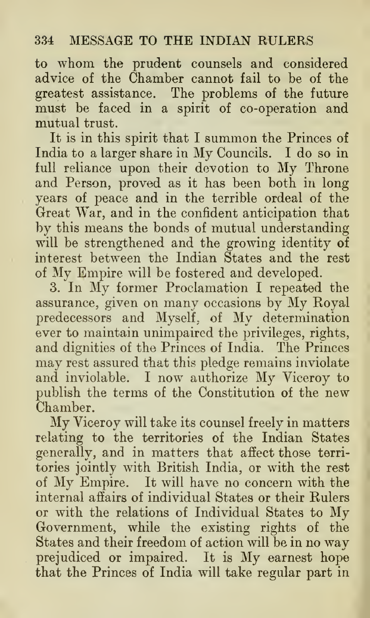to whom the prudent counsels and considered advice of the Chamber cannot fail to be of the greatest assistance. The problems of the future must be faced in a spirit of co-operation and mutual trust.

It is in this spirit that <sup>I</sup> summon the Princes of India to <sup>a</sup> larger share in My Councils. <sup>I</sup> do so in full reliance upon their devotion to My Throne and Person, proved as it has been both in long years of peace and in the terrible ordeal of the Great War, and in the confident anticipation that by this means the bonds of mutual understanding will be strengthened and the growing identity of interest between the Indian States and the rest of My Empire will be fostered and developed.

3. In My former Proclamation <sup>I</sup> repeated the assurance, given on many occasions by My Royal predecessors and Myself, of My determination ever to maintain unimpaired the privileges, rights, and dignities of the Princes of India. The Princes may rest assured that this pledge remains inviolate and inviolable. <sup>I</sup> now authorize My Viceroy to publish the terms of the Constitution of the new Chamber.

My Viceroy will take its counsel freely in matters relating to the territories of the Indian States generally, and in matters that affect those terri tories jointly with British India, or with the rest of My Empire. It will have no concern with the internal affairs of individual States or their Rulers or with the relations of Individual States to My Government, while the existing rights of the States and their freedom of action will be in no way prejudiced or impaired. It is My earnest hope that the Princes of India will take regular part in